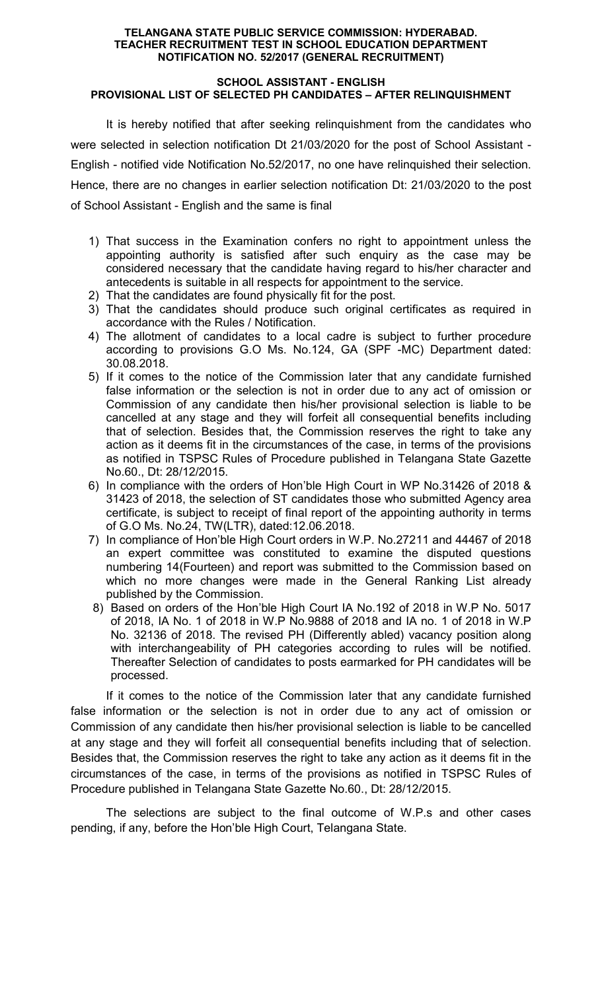### TELANGANA STATE PUBLIC SERVICE COMMISSION: HYDERABAD. TEACHER RECRUITMENT TEST IN SCHOOL EDUCATION DEPARTMENT NOTIFICATION NO. 52/2017 (GENERAL RECRUITMENT)

#### SCHOOL ASSISTANT - ENGLISH PROVISIONAL LIST OF SELECTED PH CANDIDATES – AFTER RELINQUISHMENT

It is hereby notified that after seeking relinquishment from the candidates who were selected in selection notification Dt 21/03/2020 for the post of School Assistant - English - notified vide Notification No.52/2017, no one have relinquished their selection. Hence, there are no changes in earlier selection notification Dt: 21/03/2020 to the post of School Assistant - English and the same is final

- 1) That success in the Examination confers no right to appointment unless the appointing authority is satisfied after such enquiry as the case may be considered necessary that the candidate having regard to his/her character and antecedents is suitable in all respects for appointment to the service.
- 2) That the candidates are found physically fit for the post.
- 3) That the candidates should produce such original certificates as required in accordance with the Rules / Notification.
- 4) The allotment of candidates to a local cadre is subject to further procedure according to provisions G.O Ms. No.124, GA (SPF -MC) Department dated: 30.08.2018.
- 5) If it comes to the notice of the Commission later that any candidate furnished false information or the selection is not in order due to any act of omission or Commission of any candidate then his/her provisional selection is liable to be cancelled at any stage and they will forfeit all consequential benefits including that of selection. Besides that, the Commission reserves the right to take any action as it deems fit in the circumstances of the case, in terms of the provisions as notified in TSPSC Rules of Procedure published in Telangana State Gazette No.60., Dt: 28/12/2015.
- 6) In compliance with the orders of Hon'ble High Court in WP No.31426 of 2018 & 31423 of 2018, the selection of ST candidates those who submitted Agency area certificate, is subject to receipt of final report of the appointing authority in terms of G.O Ms. No.24, TW(LTR), dated:12.06.2018.
- 7) In compliance of Hon'ble High Court orders in W.P. No.27211 and 44467 of 2018 an expert committee was constituted to examine the disputed questions numbering 14(Fourteen) and report was submitted to the Commission based on which no more changes were made in the General Ranking List already published by the Commission.
- 8) Based on orders of the Hon'ble High Court IA No.192 of 2018 in W.P No. 5017 of 2018, IA No. 1 of 2018 in W.P No.9888 of 2018 and IA no. 1 of 2018 in W.P No. 32136 of 2018. The revised PH (Differently abled) vacancy position along with interchangeability of PH categories according to rules will be notified. Thereafter Selection of candidates to posts earmarked for PH candidates will be processed.

If it comes to the notice of the Commission later that any candidate furnished false information or the selection is not in order due to any act of omission or Commission of any candidate then his/her provisional selection is liable to be cancelled at any stage and they will forfeit all consequential benefits including that of selection. Besides that, the Commission reserves the right to take any action as it deems fit in the circumstances of the case, in terms of the provisions as notified in TSPSC Rules of Procedure published in Telangana State Gazette No.60., Dt: 28/12/2015.

 The selections are subject to the final outcome of W.P.s and other cases pending, if any, before the Hon'ble High Court, Telangana State.